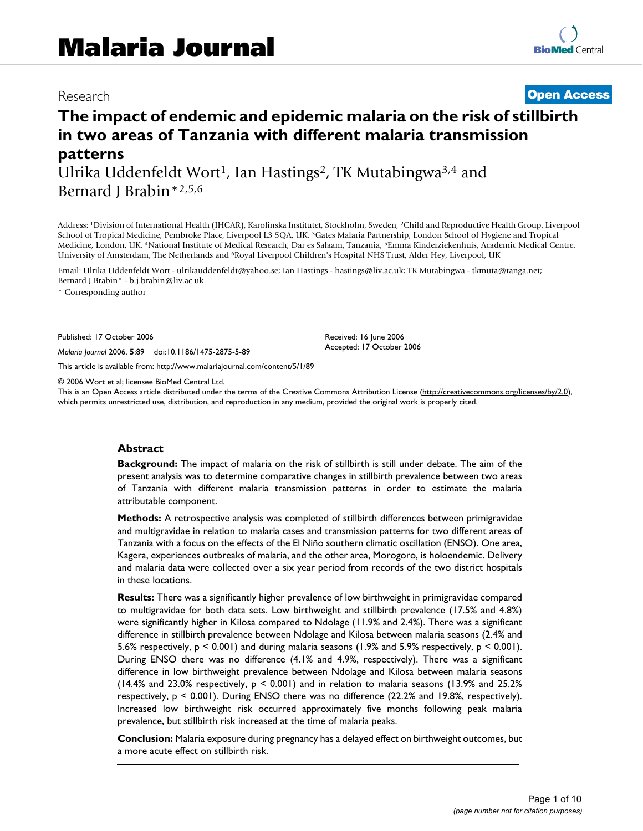# Research **[Open Access](http://www.biomedcentral.com/info/about/charter/)**

# **The impact of endemic and epidemic malaria on the risk of stillbirth in two areas of Tanzania with different malaria transmission patterns**

Ulrika Uddenfeldt Wort<sup>1</sup>, Ian Hastings<sup>2</sup>, TK Mutabingwa<sup>3,4</sup> and Bernard J Brabin\*2,5,6

Address: 1Division of International Health (IHCAR), Karolinska Institutet, Stockholm, Sweden, 2Child and Reproductive Health Group, Liverpool School of Tropical Medicine, Pembroke Place, Liverpool L3 5QA, UK, 3Gates Malaria Partnership, London School of Hygiene and Tropical Medicine, London, UK, 4National Institute of Medical Research, Dar es Salaam, Tanzania, 5Emma Kinderziekenhuis, Academic Medical Centre, University of Amsterdam, The Netherlands and <sup>6</sup>Royal Liverpool Children's Hospital NHS Trust, Alder Hey, Liverpool, UK

Email: Ulrika Uddenfeldt Wort - ulrikauddenfeldt@yahoo.se; Ian Hastings - hastings@liv.ac.uk; TK Mutabingwa - tkmuta@tanga.net; Bernard J Brabin\* - b.j.brabin@liv.ac.uk

\* Corresponding author

Published: 17 October 2006

*Malaria Journal* 2006, **5**:89 doi:10.1186/1475-2875-5-89

[This article is available from: http://www.malariajournal.com/content/5/1/89](http://www.malariajournal.com/content/5/1/89)

© 2006 Wort et al; licensee BioMed Central Ltd.

This is an Open Access article distributed under the terms of the Creative Commons Attribution License [\(http://creativecommons.org/licenses/by/2.0\)](http://creativecommons.org/licenses/by/2.0), which permits unrestricted use, distribution, and reproduction in any medium, provided the original work is properly cited.

Received: 16 June 2006 Accepted: 17 October 2006

#### **Abstract**

**Background:** The impact of malaria on the risk of stillbirth is still under debate. The aim of the present analysis was to determine comparative changes in stillbirth prevalence between two areas of Tanzania with different malaria transmission patterns in order to estimate the malaria attributable component.

**Methods:** A retrospective analysis was completed of stillbirth differences between primigravidae and multigravidae in relation to malaria cases and transmission patterns for two different areas of Tanzania with a focus on the effects of the El Niño southern climatic oscillation (ENSO). One area, Kagera, experiences outbreaks of malaria, and the other area, Morogoro, is holoendemic. Delivery and malaria data were collected over a six year period from records of the two district hospitals in these locations.

**Results:** There was a significantly higher prevalence of low birthweight in primigravidae compared to multigravidae for both data sets. Low birthweight and stillbirth prevalence (17.5% and 4.8%) were significantly higher in Kilosa compared to Ndolage (11.9% and 2.4%). There was a significant difference in stillbirth prevalence between Ndolage and Kilosa between malaria seasons (2.4% and 5.6% respectively, p < 0.001) and during malaria seasons (1.9% and 5.9% respectively, p < 0.001). During ENSO there was no difference (4.1% and 4.9%, respectively). There was a significant difference in low birthweight prevalence between Ndolage and Kilosa between malaria seasons (14.4% and 23.0% respectively,  $p \le 0.001$ ) and in relation to malaria seasons (13.9% and 25.2% respectively, p < 0.001). During ENSO there was no difference (22.2% and 19.8%, respectively). Increased low birthweight risk occurred approximately five months following peak malaria prevalence, but stillbirth risk increased at the time of malaria peaks.

**Conclusion:** Malaria exposure during pregnancy has a delayed effect on birthweight outcomes, but a more acute effect on stillbirth risk.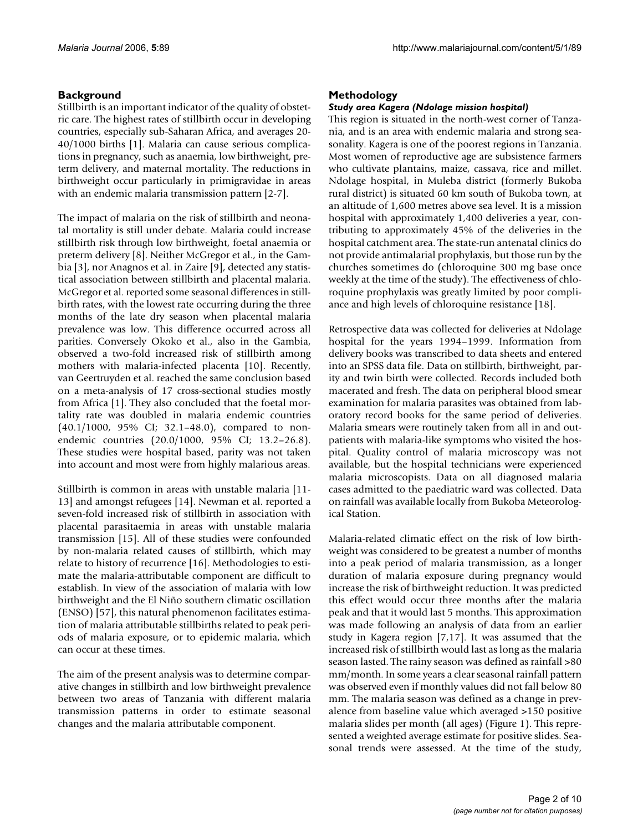# **Background**

Stillbirth is an important indicator of the quality of obstetric care. The highest rates of stillbirth occur in developing countries, especially sub-Saharan Africa, and averages 20- 40/1000 births [1]. Malaria can cause serious complications in pregnancy, such as anaemia, low birthweight, preterm delivery, and maternal mortality. The reductions in birthweight occur particularly in primigravidae in areas with an endemic malaria transmission pattern [2-7].

The impact of malaria on the risk of stillbirth and neonatal mortality is still under debate. Malaria could increase stillbirth risk through low birthweight, foetal anaemia or preterm delivery [8]. Neither McGregor et al., in the Gambia [3], nor Anagnos et al. in Zaire [9], detected any statistical association between stillbirth and placental malaria. McGregor et al. reported some seasonal differences in stillbirth rates, with the lowest rate occurring during the three months of the late dry season when placental malaria prevalence was low. This difference occurred across all parities. Conversely Okoko et al., also in the Gambia, observed a two-fold increased risk of stillbirth among mothers with malaria-infected placenta [10]. Recently, van Geertruyden et al. reached the same conclusion based on a meta-analysis of 17 cross-sectional studies mostly from Africa [1]. They also concluded that the foetal mortality rate was doubled in malaria endemic countries (40.1/1000, 95% CI; 32.1–48.0), compared to nonendemic countries (20.0/1000, 95% CI; 13.2–26.8). These studies were hospital based, parity was not taken into account and most were from highly malarious areas.

Stillbirth is common in areas with unstable malaria [11- 13] and amongst refugees [14]. Newman et al. reported a seven-fold increased risk of stillbirth in association with placental parasitaemia in areas with unstable malaria transmission [15]. All of these studies were confounded by non-malaria related causes of stillbirth, which may relate to history of recurrence [16]. Methodologies to estimate the malaria-attributable component are difficult to establish. In view of the association of malaria with low birthweight and the El Niño southern climatic oscillation (ENSO) [57], this natural phenomenon facilitates estimation of malaria attributable stillbirths related to peak periods of malaria exposure, or to epidemic malaria, which can occur at these times.

The aim of the present analysis was to determine comparative changes in stillbirth and low birthweight prevalence between two areas of Tanzania with different malaria transmission patterns in order to estimate seasonal changes and the malaria attributable component.

# **Methodology**

### *Study area Kagera (Ndolage mission hospital)*

This region is situated in the north-west corner of Tanzania, and is an area with endemic malaria and strong seasonality. Kagera is one of the poorest regions in Tanzania. Most women of reproductive age are subsistence farmers who cultivate plantains, maize, cassava, rice and millet. Ndolage hospital, in Muleba district (formerly Bukoba rural district) is situated 60 km south of Bukoba town, at an altitude of 1,600 metres above sea level. It is a mission hospital with approximately 1,400 deliveries a year, contributing to approximately 45% of the deliveries in the hospital catchment area. The state-run antenatal clinics do not provide antimalarial prophylaxis, but those run by the churches sometimes do (chloroquine 300 mg base once weekly at the time of the study). The effectiveness of chloroquine prophylaxis was greatly limited by poor compliance and high levels of chloroquine resistance [18].

Retrospective data was collected for deliveries at Ndolage hospital for the years 1994–1999. Information from delivery books was transcribed to data sheets and entered into an SPSS data file. Data on stillbirth, birthweight, parity and twin birth were collected. Records included both macerated and fresh. The data on peripheral blood smear examination for malaria parasites was obtained from laboratory record books for the same period of deliveries. Malaria smears were routinely taken from all in and outpatients with malaria-like symptoms who visited the hospital. Quality control of malaria microscopy was not available, but the hospital technicians were experienced malaria microscopists. Data on all diagnosed malaria cases admitted to the paediatric ward was collected. Data on rainfall was available locally from Bukoba Meteorological Station.

Malaria-related climatic effect on the risk of low birthweight was considered to be greatest a number of months into a peak period of malaria transmission, as a longer duration of malaria exposure during pregnancy would increase the risk of birthweight reduction. It was predicted this effect would occur three months after the malaria peak and that it would last 5 months. This approximation was made following an analysis of data from an earlier study in Kagera region [7,17]. It was assumed that the increased risk of stillbirth would last as long as the malaria season lasted. The rainy season was defined as rainfall >80 mm/month. In some years a clear seasonal rainfall pattern was observed even if monthly values did not fall below 80 mm. The malaria season was defined as a change in prevalence from baseline value which averaged >150 positive malaria slides per month (all ages) (Figure 1). This represented a weighted average estimate for positive slides. Seasonal trends were assessed. At the time of the study,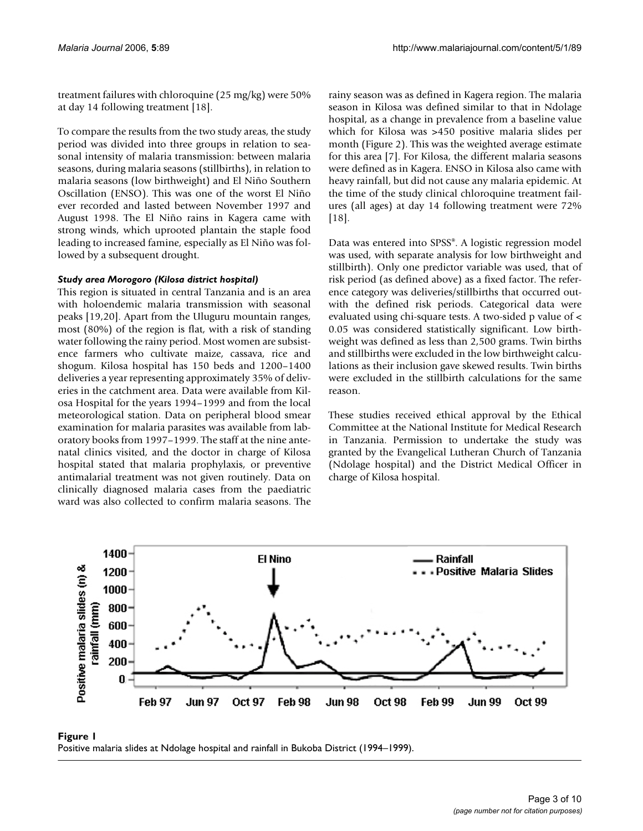treatment failures with chloroquine (25 mg/kg) were 50% at day 14 following treatment [18].

To compare the results from the two study areas, the study period was divided into three groups in relation to seasonal intensity of malaria transmission: between malaria seasons, during malaria seasons (stillbirths), in relation to malaria seasons (low birthweight) and El Niño Southern Oscillation (ENSO). This was one of the worst El Niño ever recorded and lasted between November 1997 and August 1998. The El Niño rains in Kagera came with strong winds, which uprooted plantain the staple food leading to increased famine, especially as El Niño was followed by a subsequent drought.

#### *Study area Morogoro (Kilosa district hospital)*

This region is situated in central Tanzania and is an area with holoendemic malaria transmission with seasonal peaks [19,20]. Apart from the Uluguru mountain ranges, most (80%) of the region is flat, with a risk of standing water following the rainy period. Most women are subsistence farmers who cultivate maize, cassava, rice and shogum. Kilosa hospital has 150 beds and 1200–1400 deliveries a year representing approximately 35% of deliveries in the catchment area. Data were available from Kilosa Hospital for the years 1994–1999 and from the local meteorological station. Data on peripheral blood smear examination for malaria parasites was available from laboratory books from 1997–1999. The staff at the nine antenatal clinics visited, and the doctor in charge of Kilosa hospital stated that malaria prophylaxis, or preventive antimalarial treatment was not given routinely. Data on clinically diagnosed malaria cases from the paediatric ward was also collected to confirm malaria seasons. The rainy season was as defined in Kagera region. The malaria season in Kilosa was defined similar to that in Ndolage hospital, as a change in prevalence from a baseline value which for Kilosa was >450 positive malaria slides per month (Figure 2). This was the weighted average estimate for this area [7]. For Kilosa, the different malaria seasons were defined as in Kagera. ENSO in Kilosa also came with heavy rainfall, but did not cause any malaria epidemic. At the time of the study clinical chloroquine treatment failures (all ages) at day 14 following treatment were 72% [18].

Data was entered into SPSS®. A logistic regression model was used, with separate analysis for low birthweight and stillbirth). Only one predictor variable was used, that of risk period (as defined above) as a fixed factor. The reference category was deliveries/stillbirths that occurred outwith the defined risk periods. Categorical data were evaluated using chi-square tests. A two-sided p value of < 0.05 was considered statistically significant. Low birthweight was defined as less than 2,500 grams. Twin births and stillbirths were excluded in the low birthweight calculations as their inclusion gave skewed results. Twin births were excluded in the stillbirth calculations for the same reason.

These studies received ethical approval by the Ethical Committee at the National Institute for Medical Research in Tanzania. Permission to undertake the study was granted by the Evangelical Lutheran Church of Tanzania (Ndolage hospital) and the District Medical Officer in charge of Kilosa hospital.



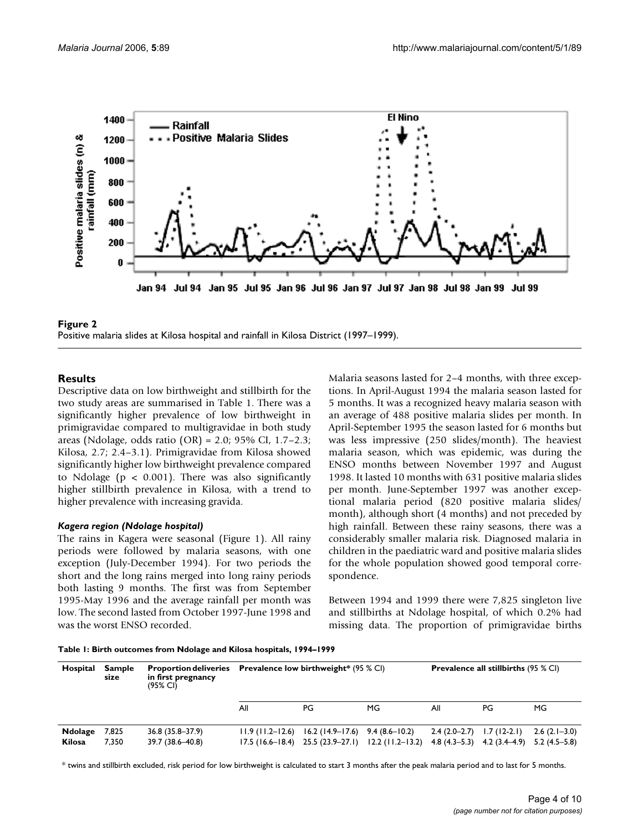

**Figure 2** Positive malaria slides at Kilosa hospital and rainfall in Kilosa District (1997–1997–1997–1997–1997–1997–1999) Positive malaria slides at Kilosa hospital and rainfall in Kilosa District (1997–1999).

#### **Results**

Descriptive data on low birthweight and stillbirth for the two study areas are summarised in Table 1. There was a significantly higher prevalence of low birthweight in primigravidae compared to multigravidae in both study areas (Ndolage, odds ratio (OR) = 2.0; 95% CI, 1.7–2.3; Kilosa, 2.7; 2.4–3.1). Primigravidae from Kilosa showed significantly higher low birthweight prevalence compared to Ndolage ( $p < 0.001$ ). There was also significantly higher stillbirth prevalence in Kilosa, with a trend to higher prevalence with increasing gravida.

#### *Kagera region (Ndolage hospital)*

The rains in Kagera were seasonal (Figure 1). All rainy periods were followed by malaria seasons, with one exception (July-December 1994). For two periods the short and the long rains merged into long rainy periods both lasting 9 months. The first was from September 1995-May 1996 and the average rainfall per month was low. The second lasted from October 1997-June 1998 and was the worst ENSO recorded.

Malaria seasons lasted for 2–4 months, with three exceptions. In April-August 1994 the malaria season lasted for 5 months. It was a recognized heavy malaria season with an average of 488 positive malaria slides per month. In April-September 1995 the season lasted for 6 months but was less impressive (250 slides/month). The heaviest malaria season, which was epidemic, was during the ENSO months between November 1997 and August 1998. It lasted 10 months with 631 positive malaria slides per month. June-September 1997 was another exceptional malaria period (820 positive malaria slides/ month), although short (4 months) and not preceded by high rainfall. Between these rainy seasons, there was a considerably smaller malaria risk. Diagnosed malaria in children in the paediatric ward and positive malaria slides for the whole population showed good temporal correspondence.

Between 1994 and 1999 there were 7,825 singleton live and stillbirths at Ndolage hospital, of which 0.2% had missing data. The proportion of primigravidae births

#### **Table 1: Birth outcomes from Ndolage and Kilosa hospitals, 1994–1999**

| Hospital                 | <b>Sample</b><br>size | in first pregnancy<br>(95% CI)        | <b>Proportion deliveries</b> Prevalence low birthweight* (95 % CI) |                                                                                           |                    | <b>Prevalence all stillbirths (95 % CI)</b> |                                              |                |
|--------------------------|-----------------------|---------------------------------------|--------------------------------------------------------------------|-------------------------------------------------------------------------------------------|--------------------|---------------------------------------------|----------------------------------------------|----------------|
|                          |                       |                                       | All                                                                | PG                                                                                        | MG                 | All                                         | PG.                                          | MG             |
| <b>Ndolage</b><br>Kilosa | 7,825<br>7.350        | $36.8(35.8-37.9)$<br>39.7 (38.6–40.8) |                                                                    | $11.9$ (11.2–12.6) 16.2 (14.9–17.6) 9.4 (8.6–10.2)<br>$17.5$ (16.6–18.4) 25.5 (23.9–27.1) | $12.2$ (11.2–13.2) | $2.4(2.0-2.7)$ 1.7 (12-2.1)                 | $4.8(4.3-5.3)$ $4.2(3.4-4.9)$ $5.2(4.5-5.8)$ | $2.6(2.1-3.0)$ |

\* twins and stillbirth excluded, risk period for low birthweight is calculated to start 3 months after the peak malaria period and to last for 5 months.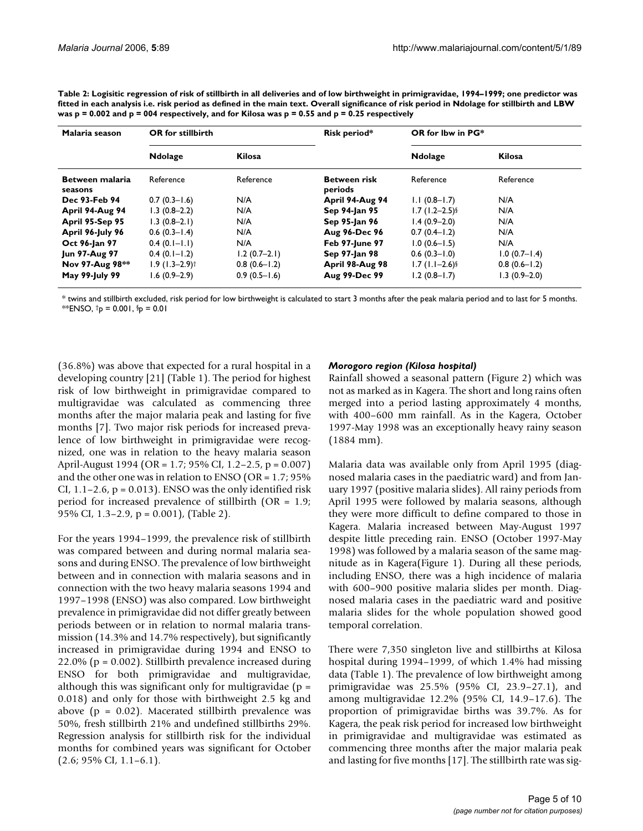**Table 2: Logisitic regression of risk of stillbirth in all deliveries and of low birthweight in primigravidae, 1994–1999; one predictor was fitted in each analysis i.e. risk period as defined in the main text. Overall significance of risk period in Ndolage for stillbirth and LBW was p = 0.002 and p = 004 respectively, and for Kilosa was p = 0.55 and p = 0.25 respectively**

| Malaria season                    | <b>OR</b> for stillbirth    |                  | Risk period*                   | OR for Ibw in PG* |                  |  |
|-----------------------------------|-----------------------------|------------------|--------------------------------|-------------------|------------------|--|
|                                   | <b>Ndolage</b>              | Kilosa           |                                | <b>Ndolage</b>    | Kilosa           |  |
| <b>Between malaria</b><br>seasons | Reference                   | Reference        | <b>Between risk</b><br>periods | Reference         | Reference        |  |
| Dec 93-Feb 94                     | $0.7(0.3-1.6)$              | N/A              | April 94-Aug 94                | $1.1(0.8-1.7)$    | N/A              |  |
| April 94-Aug 94                   | $1.3(0.8-2.2)$              | N/A              | Sep 94-Jan 95                  | $1.7(1.2-2.5)$    | N/A              |  |
| April 95-Sep 95                   | $1.3(0.8-2.1)$              | N/A              | Sep 95-Jan 96                  | $1.4(0.9-2.0)$    | N/A              |  |
| April 96-July 96                  | $0.6(0.3 - 1.4)$            | N/A              | Aug 96-Dec 96                  | $0.7(0.4-1.2)$    | N/A              |  |
| Oct 96-Jan 97                     | $0.4(0.1 - 1.1)$            | N/A              | <b>Feb 97-June 97</b>          | $1.0(0.6 - 1.5)$  | N/A              |  |
| Jun 97-Aug 97                     | $0.4(0.1 - 1.2)$            | $1.2(0.7-2.1)$   | Sep 97-Jan 98                  | $0.6(0.3 - 1.0)$  | $1.0(0.7 - 1.4)$ |  |
| Nov 97-Aug 98**                   | $1.9(1.3-2.9)$ <sup>†</sup> | $0.8(0.6 - 1.2)$ | April 98-Aug 98                | $1.7(1.1-2.6)$    | $0.8(0.6 - 1.2)$ |  |
| May 99-July 99                    | $1.6(0.9-2.9)$              | $0.9(0.5 - 1.6)$ | <b>Aug 99-Dec 99</b>           | $1.2(0.8 - 1.7)$  | $1.3(0.9-2.0)$   |  |

\* twins and stillbirth excluded, risk period for low birthweight is calculated to start 3 months after the peak malaria period and to last for 5 months. \*\*ENSO,  $\uparrow_{\text{p}}$  = 0.001,  $\uparrow_{\text{p}}$  = 0.01

(36.8%) was above that expected for a rural hospital in a developing country [21] (Table 1). The period for highest risk of low birthweight in primigravidae compared to multigravidae was calculated as commencing three months after the major malaria peak and lasting for five months [7]. Two major risk periods for increased prevalence of low birthweight in primigravidae were recognized, one was in relation to the heavy malaria season April-August 1994 (OR = 1.7; 95% CI, 1.2–2.5, p = 0.007) and the other one was in relation to ENSO (OR =  $1.7$ ; 95% CI,  $1.1-2.6$ ,  $p = 0.013$ ). ENSO was the only identified risk period for increased prevalence of stillbirth (OR = 1.9; 95% CI, 1.3–2.9, p = 0.001), (Table 2).

For the years 1994–1999, the prevalence risk of stillbirth was compared between and during normal malaria seasons and during ENSO. The prevalence of low birthweight between and in connection with malaria seasons and in connection with the two heavy malaria seasons 1994 and 1997–1998 (ENSO) was also compared. Low birthweight prevalence in primigravidae did not differ greatly between periods between or in relation to normal malaria transmission (14.3% and 14.7% respectively), but significantly increased in primigravidae during 1994 and ENSO to 22.0% (p = 0.002). Stillbirth prevalence increased during ENSO for both primigravidae and multigravidae, although this was significant only for multigravidae ( $p =$ 0.018) and only for those with birthweight 2.5 kg and above ( $p = 0.02$ ). Macerated stillbirth prevalence was 50%, fresh stillbirth 21% and undefined stillbirths 29%. Regression analysis for stillbirth risk for the individual months for combined years was significant for October  $(2.6; 95\% \text{ CI}, 1.1-6.1).$ 

#### *Morogoro region (Kilosa hospital)*

Rainfall showed a seasonal pattern (Figure 2) which was not as marked as in Kagera. The short and long rains often merged into a period lasting approximately 4 months, with 400–600 mm rainfall. As in the Kagera, October 1997-May 1998 was an exceptionally heavy rainy season (1884 mm).

Malaria data was available only from April 1995 (diagnosed malaria cases in the paediatric ward) and from January 1997 (positive malaria slides). All rainy periods from April 1995 were followed by malaria seasons, although they were more difficult to define compared to those in Kagera. Malaria increased between May-August 1997 despite little preceding rain. ENSO (October 1997-May 1998) was followed by a malaria season of the same magnitude as in Kagera(Figure 1). During all these periods, including ENSO, there was a high incidence of malaria with 600–900 positive malaria slides per month. Diagnosed malaria cases in the paediatric ward and positive malaria slides for the whole population showed good temporal correlation.

There were 7,350 singleton live and stillbirths at Kilosa hospital during 1994–1999, of which 1.4% had missing data (Table 1). The prevalence of low birthweight among primigravidae was 25.5% (95% CI, 23.9–27.1), and among multigravidae 12.2% (95% CI, 14.9–17.6). The proportion of primigravidae births was 39.7%. As for Kagera, the peak risk period for increased low birthweight in primigravidae and multigravidae was estimated as commencing three months after the major malaria peak and lasting for five months [17]. The stillbirth rate was sig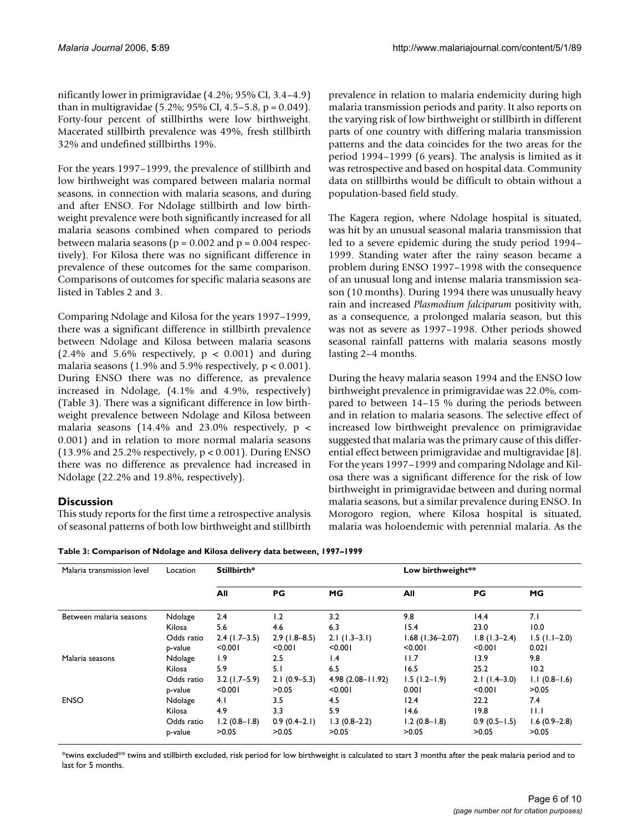nificantly lower in primigravidae (4.2%; 95% CI, 3.4–4.9) than in multigravidae (5.2%; 95% CI, 4.5–5.8, p = 0.049). Forty-four percent of stillbirths were low birthweight. Macerated stillbirth prevalence was 49%, fresh stillbirth 32% and undefined stillbirths 19%.

For the years 1997–1999, the prevalence of stillbirth and low birthweight was compared between malaria normal seasons, in connection with malaria seasons, and during and after ENSO. For Ndolage stillbirth and low birthweight prevalence were both significantly increased for all malaria seasons combined when compared to periods between malaria seasons ( $p = 0.002$  and  $p = 0.004$  respectively). For Kilosa there was no significant difference in prevalence of these outcomes for the same comparison. Comparisons of outcomes for specific malaria seasons are listed in Tables 2 and 3.

Comparing Ndolage and Kilosa for the years 1997–1999, there was a significant difference in stillbirth prevalence between Ndolage and Kilosa between malaria seasons  $(2.4\%$  and 5.6% respectively,  $p < 0.001$  and during malaria seasons (1.9% and 5.9% respectively,  $p < 0.001$ ). During ENSO there was no difference, as prevalence increased in Ndolage, (4.1% and 4.9%, respectively) (Table 3). There was a significant difference in low birthweight prevalence between Ndolage and Kilosa between malaria seasons (14.4% and 23.0% respectively,  $p \le$ 0.001) and in relation to more normal malaria seasons (13.9% and 25.2% respectively,  $p < 0.001$ ). During ENSO there was no difference as prevalence had increased in Ndolage (22.2% and 19.8%, respectively).

# **Discussion**

This study reports for the first time a retrospective analysis of seasonal patterns of both low birthweight and stillbirth prevalence in relation to malaria endemicity during high malaria transmission periods and parity. It also reports on the varying risk of low birthweight or stillbirth in different parts of one country with differing malaria transmission patterns and the data coincides for the two areas for the period 1994–1999 (6 years). The analysis is limited as it was retrospective and based on hospital data. Community data on stillbirths would be difficult to obtain without a population-based field study.

The Kagera region, where Ndolage hospital is situated, was hit by an unusual seasonal malaria transmission that led to a severe epidemic during the study period 1994– 1999. Standing water after the rainy season became a problem during ENSO 1997–1998 with the consequence of an unusual long and intense malaria transmission season (10 months). During 1994 there was unusually heavy rain and increased *Plasmodium falciparum* positivity with, as a consequence, a prolonged malaria season, but this was not as severe as 1997–1998. Other periods showed seasonal rainfall patterns with malaria seasons mostly lasting 2–4 months.

During the heavy malaria season 1994 and the ENSO low birthweight prevalence in primigravidae was 22.0%, compared to between 14–15 % during the periods between and in relation to malaria seasons. The selective effect of increased low birthweight prevalence on primigravidae suggested that malaria was the primary cause of this differential effect between primigravidae and multigravidae [8]. For the years 1997–1999 and comparing Ndolage and Kilosa there was a significant difference for the risk of low birthweight in primigravidae between and during normal malaria seasons, but a similar prevalence during ENSO. In Morogoro region, where Kilosa hospital is situated, malaria was holoendemic with perennial malaria. As the

| Table 3: Comparison of Ndolage and Kilosa delivery data between, 1997–1999 |  |  |
|----------------------------------------------------------------------------|--|--|

| Malaria transmission level | Location   | Stillbirth*     |                |                      | Low birthweight**  |                |                 |
|----------------------------|------------|-----------------|----------------|----------------------|--------------------|----------------|-----------------|
|                            |            | All             | PG             | <b>MG</b>            | All                | PG             | <b>MG</b>       |
| Between malaria seasons    | Ndolage    | 2.4             | 1.2            | 3.2                  | 9.8                | 14.4           | 7.I             |
|                            | Kilosa     | 5.6             | 4.6            | 6.3                  | 15.4               | 23.0           | 10.0            |
|                            | Odds ratio | $2.4$ (1.7–3.5) | $2.9(1.8-8.5)$ | $2.1(1.3-3.1)$       | $1.68$ (1.36-2.07) | $1.8(1.3-2.4)$ | $1.5$ (1.1-2.0) |
|                            | p-value    | < 0.001         | < 0.001        | < 0.001              | < 0.001            | < 0.001        | 0.021           |
| Malaria seasons            | Ndolage    | 1.9             | 2.5            | $\mathsf{I}$ .4      | 11.7               | 13.9           | 9.8             |
|                            | Kilosa     | 5.9             | 5.1            | 6.5                  | 16.5               | 25.2           | 10.2            |
|                            | Odds ratio | $3.2$ (1.7–5.9) | $2.1(0.9-5.3)$ | $4.98(2.08 - 11.92)$ | $1.5(1.2-1.9)$     | $2.1(1.4-3.0)$ | $1.1(0.8-1.6)$  |
|                            | p-value    | < 0.001         | >0.05          | < 0.001              | 0.001              | < 0.001        | >0.05           |
| <b>ENSO</b>                | Ndolage    | 4.1             | 3.5            | 4.5                  | 12.4               | 22.2           | 7.4             |
|                            | Kilosa     | 4.9             | 3.3            | 5.9                  | 14.6               | 19.8           | H.I             |
|                            | Odds ratio | $1.2(0.8-1.8)$  | $0.9(0.4-2.1)$ | $1.3(0.8-2.2)$       | $1.2(0.8-1.8)$     | $0.9(0.5-1.5)$ | $1.6(0.9-2.8)$  |
|                            | p-value    | >0.05           | >0.05          | >0.05                | >0.05              | >0.05          | >0.05           |

\*twins excluded\*\* twins and stillbirth excluded, risk period for low birthweight is calculated to start 3 months after the peak malaria period and to last for 5 months.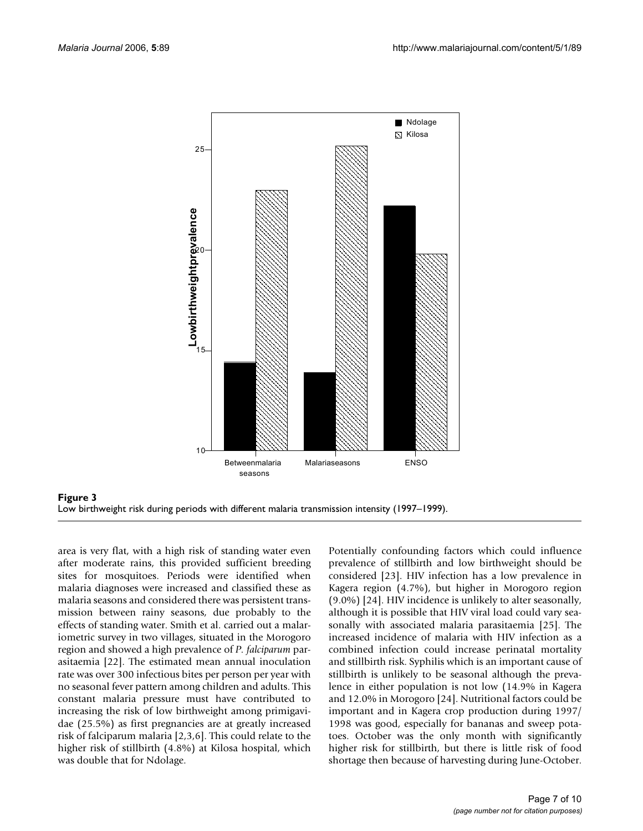



area is very flat, with a high risk of standing water even after moderate rains, this provided sufficient breeding sites for mosquitoes. Periods were identified when malaria diagnoses were increased and classified these as malaria seasons and considered there was persistent transmission between rainy seasons, due probably to the effects of standing water. Smith et al. carried out a malariometric survey in two villages, situated in the Morogoro region and showed a high prevalence of *P. falciparum* parasitaemia [22]. The estimated mean annual inoculation rate was over 300 infectious bites per person per year with no seasonal fever pattern among children and adults. This constant malaria pressure must have contributed to increasing the risk of low birthweight among primigavidae (25.5%) as first pregnancies are at greatly increased risk of falciparum malaria [2,3,6]. This could relate to the higher risk of stillbirth (4.8%) at Kilosa hospital, which was double that for Ndolage.

Potentially confounding factors which could influence prevalence of stillbirth and low birthweight should be considered [23]. HIV infection has a low prevalence in Kagera region (4.7%), but higher in Morogoro region (9.0%) [24]. HIV incidence is unlikely to alter seasonally, although it is possible that HIV viral load could vary seasonally with associated malaria parasitaemia [25]. The increased incidence of malaria with HIV infection as a combined infection could increase perinatal mortality and stillbirth risk. Syphilis which is an important cause of stillbirth is unlikely to be seasonal although the prevalence in either population is not low (14.9% in Kagera and 12.0% in Morogoro [24]. Nutritional factors could be important and in Kagera crop production during 1997/ 1998 was good, especially for bananas and sweep potatoes. October was the only month with significantly higher risk for stillbirth, but there is little risk of food shortage then because of harvesting during June-October.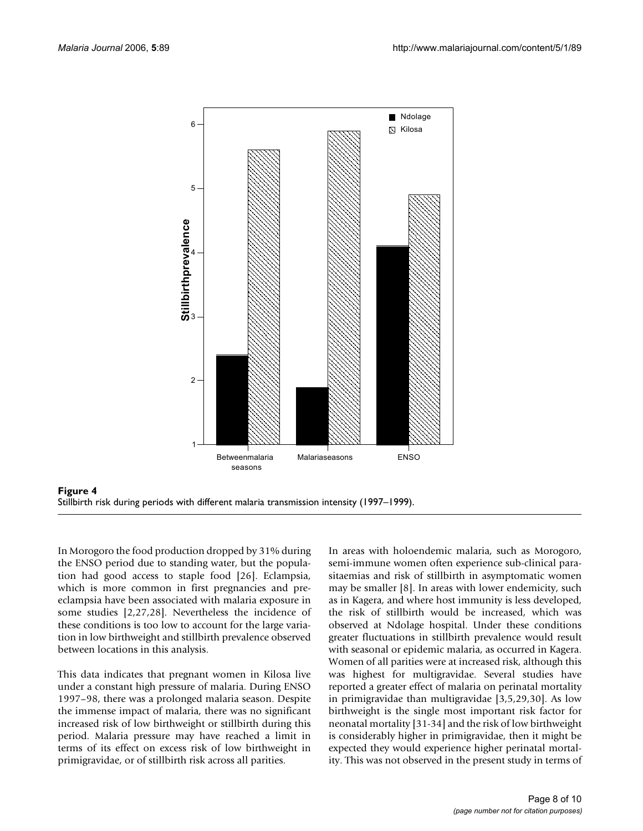

In Morogoro the food production dropped by 31% during the ENSO period due to standing water, but the population had good access to staple food [26]. Eclampsia, which is more common in first pregnancies and preeclampsia have been associated with malaria exposure in some studies [2,27,28]. Nevertheless the incidence of these conditions is too low to account for the large variation in low birthweight and stillbirth prevalence observed between locations in this analysis.

This data indicates that pregnant women in Kilosa live under a constant high pressure of malaria. During ENSO 1997–98, there was a prolonged malaria season. Despite the immense impact of malaria, there was no significant increased risk of low birthweight or stillbirth during this period. Malaria pressure may have reached a limit in terms of its effect on excess risk of low birthweight in primigravidae, or of stillbirth risk across all parities.

In areas with holoendemic malaria, such as Morogoro, semi-immune women often experience sub-clinical parasitaemias and risk of stillbirth in asymptomatic women may be smaller [8]. In areas with lower endemicity, such as in Kagera, and where host immunity is less developed, the risk of stillbirth would be increased, which was observed at Ndolage hospital. Under these conditions greater fluctuations in stillbirth prevalence would result with seasonal or epidemic malaria, as occurred in Kagera. Women of all parities were at increased risk, although this was highest for multigravidae. Several studies have reported a greater effect of malaria on perinatal mortality in primigravidae than multigravidae [3,5,29,30]. As low birthweight is the single most important risk factor for neonatal mortality [31-34] and the risk of low birthweight is considerably higher in primigravidae, then it might be expected they would experience higher perinatal mortality. This was not observed in the present study in terms of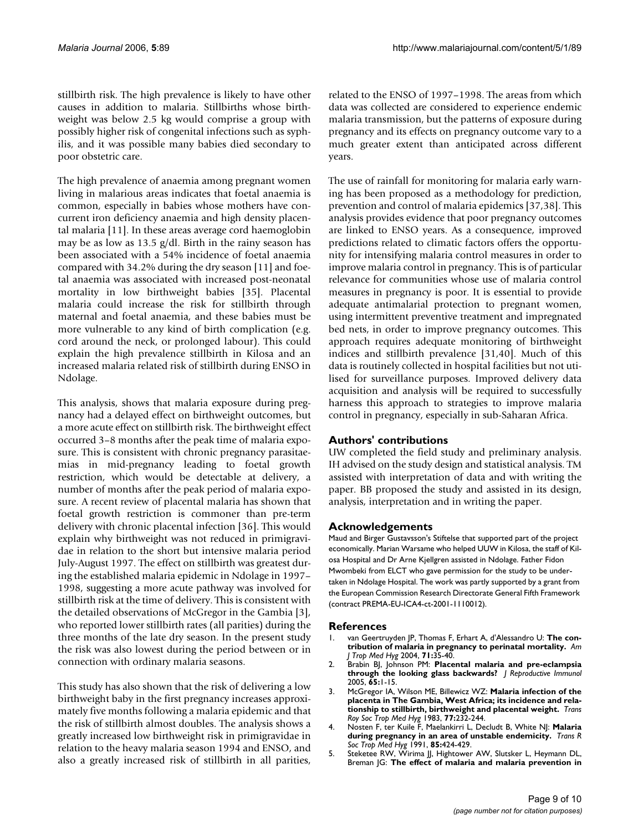stillbirth risk. The high prevalence is likely to have other causes in addition to malaria. Stillbirths whose birthweight was below 2.5 kg would comprise a group with possibly higher risk of congenital infections such as syphilis, and it was possible many babies died secondary to poor obstetric care.

The high prevalence of anaemia among pregnant women living in malarious areas indicates that foetal anaemia is common, especially in babies whose mothers have concurrent iron deficiency anaemia and high density placental malaria [11]. In these areas average cord haemoglobin may be as low as 13.5 g/dl. Birth in the rainy season has been associated with a 54% incidence of foetal anaemia compared with 34.2% during the dry season [11] and foetal anaemia was associated with increased post-neonatal mortality in low birthweight babies [35]. Placental malaria could increase the risk for stillbirth through maternal and foetal anaemia, and these babies must be more vulnerable to any kind of birth complication (e.g. cord around the neck, or prolonged labour). This could explain the high prevalence stillbirth in Kilosa and an increased malaria related risk of stillbirth during ENSO in Ndolage.

This analysis, shows that malaria exposure during pregnancy had a delayed effect on birthweight outcomes, but a more acute effect on stillbirth risk. The birthweight effect occurred 3–8 months after the peak time of malaria exposure. This is consistent with chronic pregnancy parasitaemias in mid-pregnancy leading to foetal growth restriction, which would be detectable at delivery, a number of months after the peak period of malaria exposure. A recent review of placental malaria has shown that foetal growth restriction is commoner than pre-term delivery with chronic placental infection [36]. This would explain why birthweight was not reduced in primigravidae in relation to the short but intensive malaria period July-August 1997. The effect on stillbirth was greatest during the established malaria epidemic in Ndolage in 1997– 1998, suggesting a more acute pathway was involved for stillbirth risk at the time of delivery. This is consistent with the detailed observations of McGregor in the Gambia [3], who reported lower stillbirth rates (all parities) during the three months of the late dry season. In the present study the risk was also lowest during the period between or in connection with ordinary malaria seasons.

This study has also shown that the risk of delivering a low birthweight baby in the first pregnancy increases approximately five months following a malaria epidemic and that the risk of stillbirth almost doubles. The analysis shows a greatly increased low birthweight risk in primigravidae in relation to the heavy malaria season 1994 and ENSO, and also a greatly increased risk of stillbirth in all parities,

related to the ENSO of 1997–1998. The areas from which data was collected are considered to experience endemic malaria transmission, but the patterns of exposure during pregnancy and its effects on pregnancy outcome vary to a much greater extent than anticipated across different years.

The use of rainfall for monitoring for malaria early warning has been proposed as a methodology for prediction, prevention and control of malaria epidemics [37,38]. This analysis provides evidence that poor pregnancy outcomes are linked to ENSO years. As a consequence, improved predictions related to climatic factors offers the opportunity for intensifying malaria control measures in order to improve malaria control in pregnancy. This is of particular relevance for communities whose use of malaria control measures in pregnancy is poor. It is essential to provide adequate antimalarial protection to pregnant women, using intermittent preventive treatment and impregnated bed nets, in order to improve pregnancy outcomes. This approach requires adequate monitoring of birthweight indices and stillbirth prevalence [31,40]. Much of this data is routinely collected in hospital facilities but not utilised for surveillance purposes. Improved delivery data acquisition and analysis will be required to successfully harness this approach to strategies to improve malaria control in pregnancy, especially in sub-Saharan Africa.

### **Authors' contributions**

UW completed the field study and preliminary analysis. IH advised on the study design and statistical analysis. TM assisted with interpretation of data and with writing the paper. BB proposed the study and assisted in its design, analysis, interpretation and in writing the paper.

### **Acknowledgements**

Maud and Birger Gustavsson's Stiftelse that supported part of the project economically. Marian Warsame who helped UUW in Kilosa, the staff of Kilosa Hospital and Dr Arne Kjellgren assisted in Ndolage. Father Fidon Mwombeki from ELCT who gave permission for the study to be undertaken in Ndolage Hospital. The work was partly supported by a grant from the European Commission Research Directorate General Fifth Framework (contract PREMA-EU-ICA4-ct-2001-1110012).

#### **References**

- 1. van Geertruyden JP, Thomas F, Erhart A, d'Alessandro U: **[The con](http://www.ncbi.nlm.nih.gov/entrez/query.fcgi?cmd=Retrieve&db=PubMed&dopt=Abstract&list_uids=15331817)[tribution of malaria in pregnancy to perinatal mortality.](http://www.ncbi.nlm.nih.gov/entrez/query.fcgi?cmd=Retrieve&db=PubMed&dopt=Abstract&list_uids=15331817)** *Am J Trop Med Hyg* 2004, **71:**35-40.
- 2. Brabin BJ, Johnson PM: **Placental malaria and pre-eclampsia through the looking glass backwards?** *J Reproductive Immunol* 2005, **65:**1-15.
- 3. McGregor IA, Wilson ME, Billewicz WZ: **[Malaria infection of the](http://www.ncbi.nlm.nih.gov/entrez/query.fcgi?cmd=Retrieve&db=PubMed&dopt=Abstract&list_uids=6346592) [placenta in The Gambia, West Africa; its incidence and rela](http://www.ncbi.nlm.nih.gov/entrez/query.fcgi?cmd=Retrieve&db=PubMed&dopt=Abstract&list_uids=6346592)[tionship to stillbirth, birthweight and placental weight.](http://www.ncbi.nlm.nih.gov/entrez/query.fcgi?cmd=Retrieve&db=PubMed&dopt=Abstract&list_uids=6346592)** *Trans Roy Soc Trop Med Hyg* 1983, **77:**232-244.
- 4. Nosten F, ter Kuile F, Maelankirri L, Decludt B, White NJ: **[Malaria](http://www.ncbi.nlm.nih.gov/entrez/query.fcgi?cmd=Retrieve&db=PubMed&dopt=Abstract&list_uids=1836685) [during pregnancy in an area of unstable endemicity.](http://www.ncbi.nlm.nih.gov/entrez/query.fcgi?cmd=Retrieve&db=PubMed&dopt=Abstract&list_uids=1836685)** *Trans R Soc Trop Med Hyg* 1991, **85:**424-429.
- 5. Steketee RW, Wirima JJ, Hightower AW, Slutsker L, Heymann DL, Breman JG: **[The effect of malaria and malaria prevention in](http://www.ncbi.nlm.nih.gov/entrez/query.fcgi?cmd=Retrieve&db=PubMed&dopt=Abstract&list_uids=8702035)**